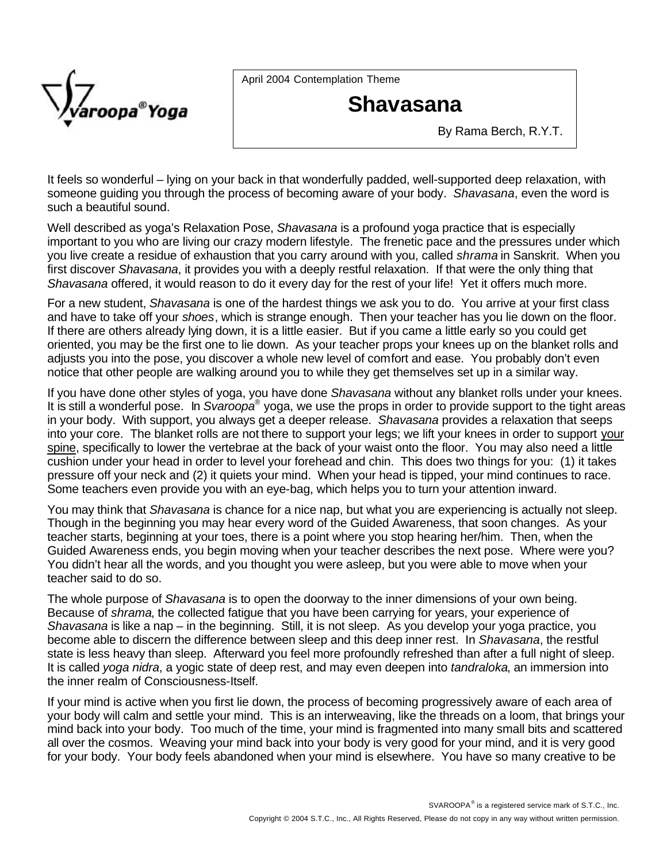

April 2004 Contemplation Theme

## **Shavasana**

By Rama Berch, R.Y.T.

It feels so wonderful – lying on your back in that wonderfully padded, well-supported deep relaxation, with someone guiding you through the process of becoming aware of your body. *Shavasana*, even the word is such a beautiful sound.

Well described as yoga's Relaxation Pose, *Shavasana* is a profound yoga practice that is especially important to you who are living our crazy modern lifestyle. The frenetic pace and the pressures under which you live create a residue of exhaustion that you carry around with you, called *shrama* in Sanskrit. When you first discover *Shavasana*, it provides you with a deeply restful relaxation. If that were the only thing that *Shavasana* offered, it would reason to do it every day for the rest of your life! Yet it offers much more.

For a new student, *Shavasana* is one of the hardest things we ask you to do. You arrive at your first class and have to take off your *shoes*, which is strange enough. Then your teacher has you lie down on the floor. If there are others already lying down, it is a little easier. But if you came a little early so you could get oriented, you may be the first one to lie down. As your teacher props your knees up on the blanket rolls and adjusts you into the pose, you discover a whole new level of comfort and ease. You probably don't even notice that other people are walking around you to while they get themselves set up in a similar way.

If you have done other styles of yoga, you have done *Shavasana* without any blanket rolls under your knees. It is still a wonderful pose. In *Svaroopa*<sup>®</sup> yoga, we use the props in order to provide support to the tight areas in your body. With support, you always get a deeper release. *Shavasana* provides a relaxation that seeps into your core. The blanket rolls are not there to support your legs; we lift your knees in order to support your spine, specifically to lower the vertebrae at the back of your waist onto the floor. You may also need a little cushion under your head in order to level your forehead and chin. This does two things for you: (1) it takes pressure off your neck and (2) it quiets your mind. When your head is tipped, your mind continues to race. Some teachers even provide you with an eye-bag, which helps you to turn your attention inward.

You may think that *Shavasana* is chance for a nice nap, but what you are experiencing is actually not sleep. Though in the beginning you may hear every word of the Guided Awareness, that soon changes. As your teacher starts, beginning at your toes, there is a point where you stop hearing her/him. Then, when the Guided Awareness ends, you begin moving when your teacher describes the next pose. Where were you? You didn't hear all the words, and you thought you were asleep, but you were able to move when your teacher said to do so.

The whole purpose of *Shavasana* is to open the doorway to the inner dimensions of your own being. Because of *shrama*, the collected fatigue that you have been carrying for years, your experience of *Shavasana* is like a nap – in the beginning. Still, it is not sleep. As you develop your yoga practice, you become able to discern the difference between sleep and this deep inner rest. In *Shavasana*, the restful state is less heavy than sleep. Afterward you feel more profoundly refreshed than after a full night of sleep. It is called *yoga nidra*, a yogic state of deep rest, and may even deepen into *tandraloka*, an immersion into the inner realm of Consciousness-Itself.

If your mind is active when you first lie down, the process of becoming progressively aware of each area of your body will calm and settle your mind. This is an interweaving, like the threads on a loom, that brings your mind back into your body. Too much of the time, your mind is fragmented into many small bits and scattered all over the cosmos. Weaving your mind back into your body is very good for your mind, and it is very good for your body. Your body feels abandoned when your mind is elsewhere. You have so many creative to be